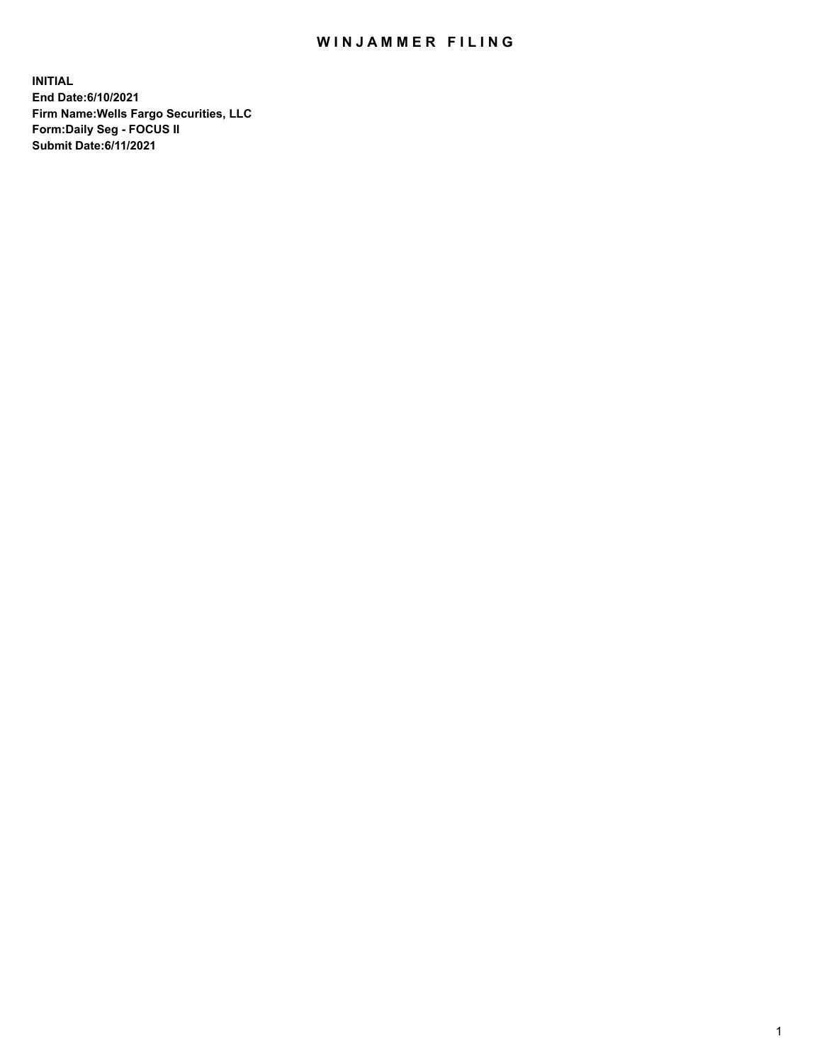## WIN JAMMER FILING

**INITIAL End Date:6/10/2021 Firm Name:Wells Fargo Securities, LLC Form:Daily Seg - FOCUS II Submit Date:6/11/2021**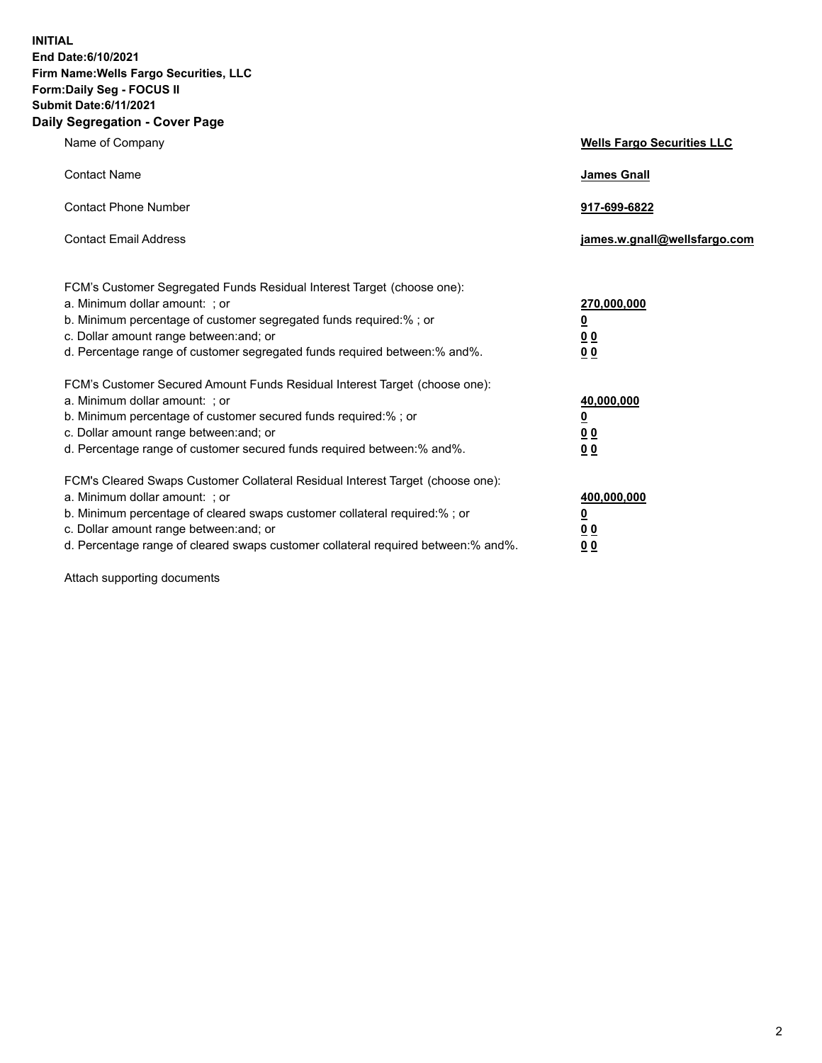**INITIAL End Date:6/10/2021 Firm Name:Wells Fargo Securities, LLC Form:Daily Seg - FOCUS II Submit Date:6/11/2021 Daily Segregation - Cover Page**

| Name of Company                                                                                                                                                                                                                                                                                                                | <b>Wells Fargo Securities LLC</b>                             |
|--------------------------------------------------------------------------------------------------------------------------------------------------------------------------------------------------------------------------------------------------------------------------------------------------------------------------------|---------------------------------------------------------------|
| <b>Contact Name</b>                                                                                                                                                                                                                                                                                                            | <b>James Gnall</b>                                            |
| <b>Contact Phone Number</b>                                                                                                                                                                                                                                                                                                    | 917-699-6822                                                  |
| <b>Contact Email Address</b>                                                                                                                                                                                                                                                                                                   | james.w.gnall@wellsfargo.com                                  |
| FCM's Customer Segregated Funds Residual Interest Target (choose one):<br>a. Minimum dollar amount: ; or<br>b. Minimum percentage of customer segregated funds required:% ; or<br>c. Dollar amount range between: and; or<br>d. Percentage range of customer segregated funds required between:% and%.                         | 270,000,000<br><u>0</u><br>0 <sub>0</sub><br>0 <sub>0</sub>   |
| FCM's Customer Secured Amount Funds Residual Interest Target (choose one):<br>a. Minimum dollar amount: ; or<br>b. Minimum percentage of customer secured funds required:%; or<br>c. Dollar amount range between: and; or<br>d. Percentage range of customer secured funds required between:% and%.                            | 40,000,000<br>$\overline{\mathbf{0}}$<br>00<br>0 <sub>0</sub> |
| FCM's Cleared Swaps Customer Collateral Residual Interest Target (choose one):<br>a. Minimum dollar amount: ; or<br>b. Minimum percentage of cleared swaps customer collateral required:% ; or<br>c. Dollar amount range between: and; or<br>d. Percentage range of cleared swaps customer collateral required between:% and%. | 400,000,000<br><u>0</u><br>00<br>00                           |

Attach supporting documents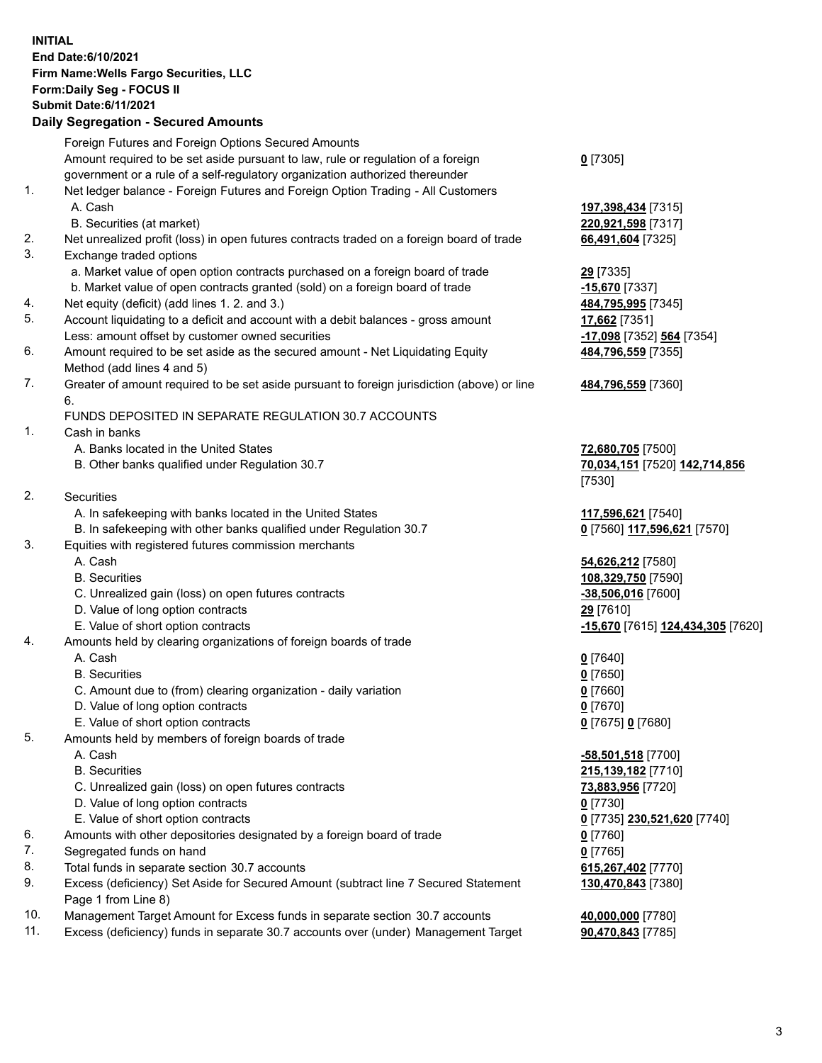**INITIAL End Date:6/10/2021 Firm Name:Wells Fargo Securities, LLC Form:Daily Seg - FOCUS II Submit Date:6/11/2021**

## **Daily Segregation - Secured Amounts**

|    | Foreign Futures and Foreign Options Secured Amounts                                                        |                                                       |
|----|------------------------------------------------------------------------------------------------------------|-------------------------------------------------------|
|    | Amount required to be set aside pursuant to law, rule or regulation of a foreign                           | $0$ [7305]                                            |
|    | government or a rule of a self-regulatory organization authorized thereunder                               |                                                       |
| 1. | Net ledger balance - Foreign Futures and Foreign Option Trading - All Customers                            |                                                       |
|    | A. Cash                                                                                                    | 197,398,434 [7315]                                    |
|    | B. Securities (at market)                                                                                  | 220,921,598 [7317]                                    |
| 2. | Net unrealized profit (loss) in open futures contracts traded on a foreign board of trade                  | 66,491,604 [7325]                                     |
| 3. | Exchange traded options                                                                                    |                                                       |
|    | a. Market value of open option contracts purchased on a foreign board of trade                             | 29 [7335]                                             |
|    | b. Market value of open contracts granted (sold) on a foreign board of trade                               | -15,670 [7337]                                        |
| 4. | Net equity (deficit) (add lines 1. 2. and 3.)                                                              | 484,795,995 [7345]                                    |
| 5. | Account liquidating to a deficit and account with a debit balances - gross amount                          | 17,662 [7351]                                         |
|    | Less: amount offset by customer owned securities                                                           | -17,098 [7352] 564 [7354]                             |
| 6. | Amount required to be set aside as the secured amount - Net Liquidating Equity                             | 484,796,559 [7355]                                    |
|    | Method (add lines 4 and 5)                                                                                 |                                                       |
| 7. | Greater of amount required to be set aside pursuant to foreign jurisdiction (above) or line                | 484,796,559 [7360]                                    |
|    | 6.                                                                                                         |                                                       |
|    | FUNDS DEPOSITED IN SEPARATE REGULATION 30.7 ACCOUNTS                                                       |                                                       |
| 1. | Cash in banks                                                                                              |                                                       |
|    | A. Banks located in the United States                                                                      | 72,680,705 [7500]                                     |
|    | B. Other banks qualified under Regulation 30.7                                                             | 70,034,151 [7520] 142,714,856                         |
|    |                                                                                                            | [7530]                                                |
| 2. | Securities                                                                                                 |                                                       |
|    | A. In safekeeping with banks located in the United States                                                  | 117,596,621 [7540]                                    |
|    | B. In safekeeping with other banks qualified under Regulation 30.7                                         | 0 [7560] 117,596,621 [7570]                           |
| 3. | Equities with registered futures commission merchants                                                      |                                                       |
|    | A. Cash                                                                                                    | 54,626,212 [7580]                                     |
|    | <b>B.</b> Securities                                                                                       | 108,329,750 [7590]                                    |
|    | C. Unrealized gain (loss) on open futures contracts                                                        | -38,506,016 [7600]                                    |
|    | D. Value of long option contracts                                                                          | 29 [7610]                                             |
|    | E. Value of short option contracts                                                                         | <mark>-15,670</mark> [7615] <u>124,434,305</u> [7620] |
| 4. | Amounts held by clearing organizations of foreign boards of trade                                          |                                                       |
|    | A. Cash                                                                                                    | $0$ [7640]                                            |
|    | <b>B.</b> Securities                                                                                       | $0$ [7650]                                            |
|    | C. Amount due to (from) clearing organization - daily variation                                            | $0$ [7660]                                            |
|    | D. Value of long option contracts                                                                          | $0$ [7670]                                            |
|    | E. Value of short option contracts                                                                         | 0 [7675] 0 [7680]                                     |
| 5. | Amounts held by members of foreign boards of trade                                                         |                                                       |
|    | A. Cash                                                                                                    | -58,501,518 [7700]                                    |
|    | <b>B.</b> Securities                                                                                       | 215,139,182 [7710]                                    |
|    | C. Unrealized gain (loss) on open futures contracts                                                        | 73,883,956 [7720]                                     |
|    | D. Value of long option contracts                                                                          | $0$ [7730]                                            |
|    | E. Value of short option contracts                                                                         | 0 <sup>[7735]</sup> 230,521,620 <sup>[7740]</sup>     |
| 6. | Amounts with other depositories designated by a foreign board of trade                                     | 0 [7760]                                              |
| 7. | Segregated funds on hand                                                                                   | $0$ [7765]                                            |
| 8. | Total funds in separate section 30.7 accounts                                                              | 615,267,402 [7770]                                    |
| 9. | Excess (deficiency) Set Aside for Secured Amount (subtract line 7 Secured Statement<br>Page 1 from Line 8) | 130,470,843 [7380]                                    |
|    |                                                                                                            |                                                       |

- 10. Management Target Amount for Excess funds in separate section 30.7 accounts **40,000,000** [7780]
- 11. Excess (deficiency) funds in separate 30.7 accounts over (under) Management Target **90,470,843** [7785]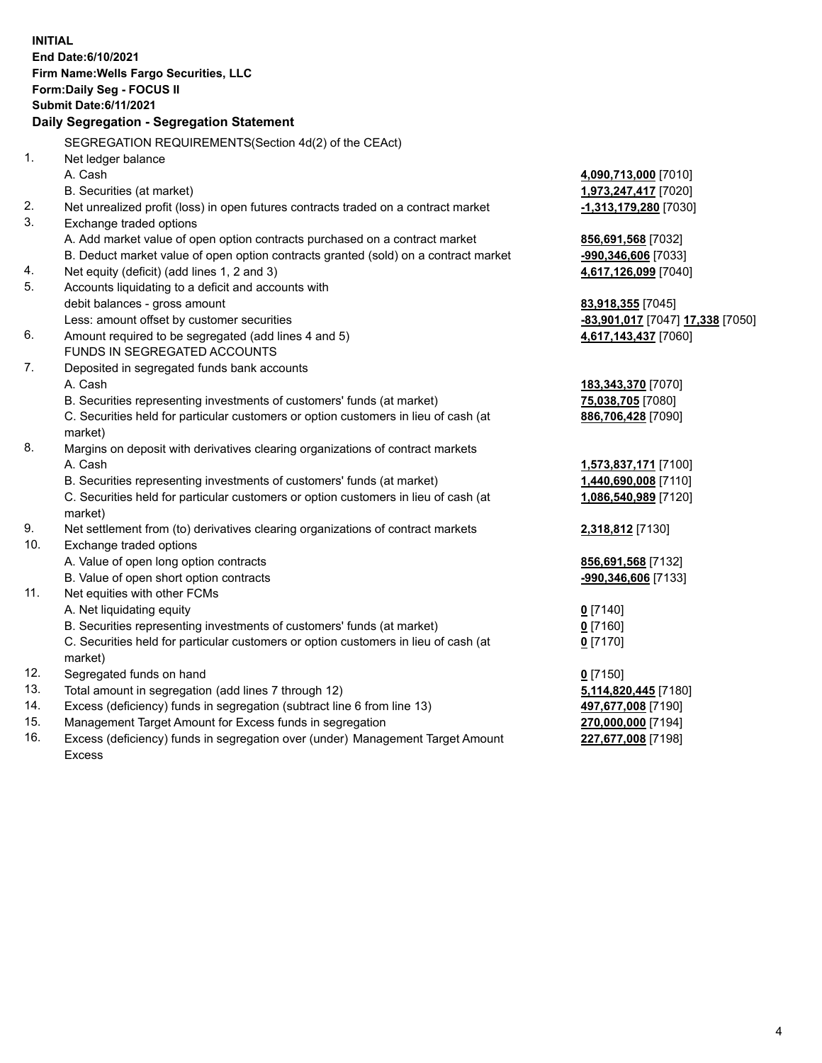**INITIAL End Date:6/10/2021 Firm Name:Wells Fargo Securities, LLC Form:Daily Seg - FOCUS II Submit Date:6/11/2021 Daily Segregation - Segregation Statement** SEGREGATION REQUIREMENTS(Section 4d(2) of the CEAct) 1. Net ledger balance A. Cash **4,090,713,000** [7010] B. Securities (at market) **1,973,247,417** [7020] 2. Net unrealized profit (loss) in open futures contracts traded on a contract market **-1,313,179,280** [7030] 3. Exchange traded options A. Add market value of open option contracts purchased on a contract market **856,691,568** [7032] B. Deduct market value of open option contracts granted (sold) on a contract market **-990,346,606** [7033] 4. Net equity (deficit) (add lines 1, 2 and 3) **4,617,126,099** [7040] 5. Accounts liquidating to a deficit and accounts with debit balances - gross amount **83,918,355** [7045] Less: amount offset by customer securities **-83,901,017** [7047] **17,338** [7050] 6. Amount required to be segregated (add lines 4 and 5) **4,617,143,437** [7060] FUNDS IN SEGREGATED ACCOUNTS 7. Deposited in segregated funds bank accounts A. Cash **183,343,370** [7070] B. Securities representing investments of customers' funds (at market) **75,038,705** [7080] C. Securities held for particular customers or option customers in lieu of cash (at market) **886,706,428** [7090] 8. Margins on deposit with derivatives clearing organizations of contract markets A. Cash **1,573,837,171** [7100] B. Securities representing investments of customers' funds (at market) **1,440,690,008** [7110] C. Securities held for particular customers or option customers in lieu of cash (at market) **1,086,540,989** [7120] 9. Net settlement from (to) derivatives clearing organizations of contract markets **2,318,812** [7130] 10. Exchange traded options A. Value of open long option contracts **856,691,568** [7132] B. Value of open short option contracts **-990,346,606** [7133] 11. Net equities with other FCMs A. Net liquidating equity **0** [7140] B. Securities representing investments of customers' funds (at market) **0** [7160] C. Securities held for particular customers or option customers in lieu of cash (at market) **0** [7170] 12. Segregated funds on hand **0** [7150] 13. Total amount in segregation (add lines 7 through 12) **5,114,820,445** [7180] 14. Excess (deficiency) funds in segregation (subtract line 6 from line 13) **497,677,008** [7190] 15. Management Target Amount for Excess funds in segregation **270,000,000** [7194] **227,677,008** [7198]

16. Excess (deficiency) funds in segregation over (under) Management Target Amount Excess